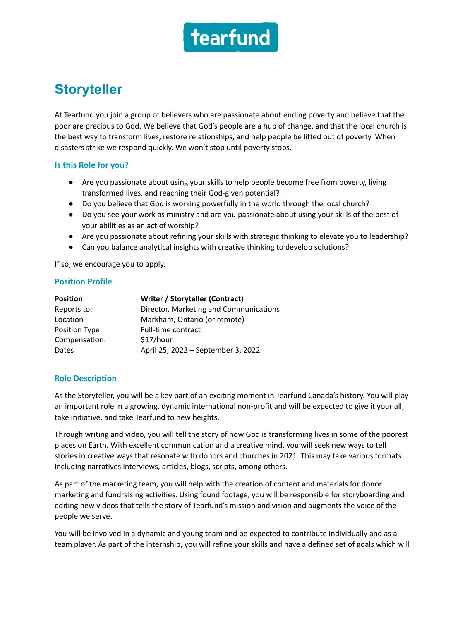

# **Storyteller**

At Tearfund you join a group of believers who are passionate about ending poverty and believe that the poor are precious to God. We believe that God's people are a hub of change, and that the local church is the best way to transform lives, restore relationships, and help people be lifted out of poverty. When disasters strike we respond quickly. We won't stop until poverty stops.

## **Is this Role for you?**

- Are you passionate about using your skills to help people become free from poverty, living transformed lives, and reaching their God-given potential?
- Do you believe that God is working powerfully in the world through the local church?
- Do you see your work as ministry and are you passionate about using your skills of the best of your abilities as an act of worship?
- Are you passionate about refining your skills with strategic thinking to elevate you to leadership?
- Can you balance analytical insights with creative thinking to develop solutions?

If so, we encourage you to apply.

## **Position Profile**

| <b>Position</b> | Writer / Storyteller (Contract)        |
|-----------------|----------------------------------------|
| Reports to:     | Director, Marketing and Communications |
| Location        | Markham, Ontario (or remote)           |
| Position Type   | Full-time contract                     |
| Compensation:   | \$17/hour                              |
| <b>Dates</b>    | April 25, 2022 - September 3, 2022     |

## **Role Description**

As the Storyteller, you will be a key part of an exciting moment in Tearfund Canada's history. You will play an important role in a growing, dynamic international non-profit and will be expected to give it your all, take initiative, and take Tearfund to new heights.

Through writing and video, you will tell the story of how God is transforming lives in some of the poorest places on Earth. With excellent communication and a creative mind, you will seek new ways to tell stories in creative ways that resonate with donors and churches in 2021. This may take various formats including narratives interviews, articles, blogs, scripts, among others.

As part of the marketing team, you will help with the creation of content and materials for donor marketing and fundraising activities. Using found footage, you will be responsible for storyboarding and editing new videos that tells the story of Tearfund's mission and vision and augments the voice of the people we serve.

You will be involved in a dynamic and young team and be expected to contribute individually and as a team player. As part of the internship, you will refine your skills and have a defined set of goals which will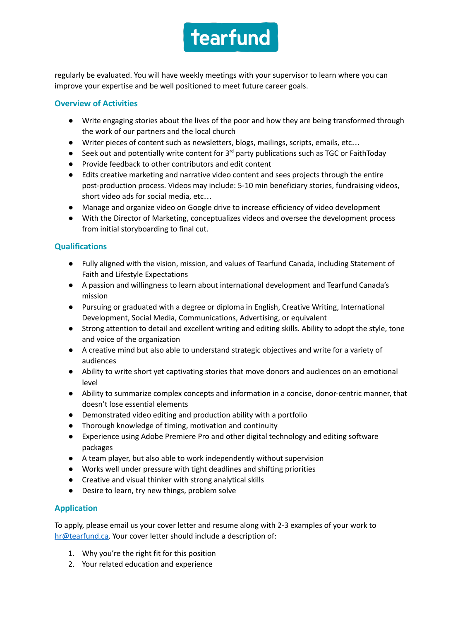

regularly be evaluated. You will have weekly meetings with your supervisor to learn where you can improve your expertise and be well positioned to meet future career goals.

# **Overview of Activities**

- Write engaging stories about the lives of the poor and how they are being transformed through the work of our partners and the local church
- Writer pieces of content such as newsletters, blogs, mailings, scripts, emails, etc…
- Seek out and potentially write content for  $3<sup>rd</sup>$  party publications such as TGC or FaithToday
- Provide feedback to other contributors and edit content
- Edits creative marketing and narrative video content and sees projects through the entire post-production process. Videos may include: 5-10 min beneficiary stories, fundraising videos, short video ads for social media, etc…
- Manage and organize video on Google drive to increase efficiency of video development
- With the Director of Marketing, conceptualizes videos and oversee the development process from initial storyboarding to final cut.

# **Qualifications**

- Fully aligned with the vision, mission, and values of Tearfund Canada, including Statement of Faith and Lifestyle Expectations
- A passion and willingness to learn about international development and Tearfund Canada's mission
- Pursuing or graduated with a degree or diploma in English, Creative Writing, International Development, Social Media, Communications, Advertising, or equivalent
- Strong attention to detail and excellent writing and editing skills. Ability to adopt the style, tone and voice of the organization
- A creative mind but also able to understand strategic objectives and write for a variety of audiences
- Ability to write short yet captivating stories that move donors and audiences on an emotional level
- Ability to summarize complex concepts and information in a concise, donor-centric manner, that doesn't lose essential elements
- Demonstrated video editing and production ability with a portfolio
- Thorough knowledge of timing, motivation and continuity
- Experience using Adobe Premiere Pro and other digital technology and editing software packages
- A team player, but also able to work independently without supervision
- Works well under pressure with tight deadlines and shifting priorities
- Creative and visual thinker with strong analytical skills
- Desire to learn, try new things, problem solve

# **Application**

To apply, please email us your cover letter and resume along with 2-3 examples of your work to [hr@tearfund.ca.](mailto:hr@tearfund.ca) Your cover letter should include a description of:

- 1. Why you're the right fit for this position
- 2. Your related education and experience